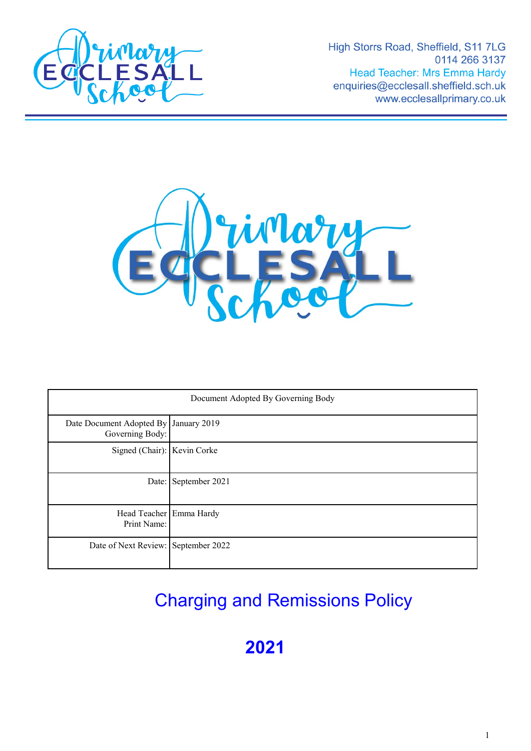

High Storrs Road, Sheffield, S11 7LG 0114 266 3137 **Head Teacher: Mrs Emma Hardy** enquiries@ecclesall.sheffield.sch.uk www.ecclesallprimary.co.uk



| Document Adopted By Governing Body                       |                      |
|----------------------------------------------------------|----------------------|
| Date Document Adopted By January 2019<br>Governing Body: |                      |
| Signed (Chair): Kevin Corke                              |                      |
|                                                          | Date: September 2021 |
| Head Teacher Emma Hardy<br>Print Name:                   |                      |
| Date of Next Review: September 2022                      |                      |

# Charging and Remissions Policy

**2021**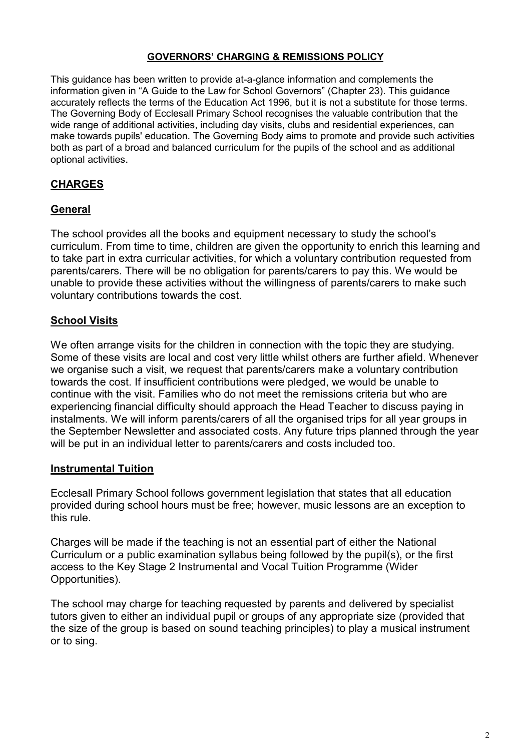#### **GOVERNORS' CHARGING & REMISSIONS POLICY**

This guidance has been written to provide at-a-glance information and complements the information given in "A Guide to the Law for School Governors" (Chapter 23). This guidance accurately reflects the terms of the Education Act 1996, but it is not a substitute for those terms. The Governing Body of Ecclesall Primary School recognises the valuable contribution that the wide range of additional activities, including day visits, clubs and residential experiences, can make towards pupils' education. The Governing Body aims to promote and provide such activities both as part of a broad and balanced curriculum for the pupils of the school and as additional optional activities.

## **CHARGES**

## **General**

The school provides all the books and equipment necessary to study the school's curriculum. From time to time, children are given the opportunity to enrich this learning and to take part in extra curricular activities, for which a voluntary contribution requested from parents/carers. There will be no obligation for parents/carers to pay this. We would be unable to provide these activities without the willingness of parents/carers to make such voluntary contributions towards the cost.

## **School Visits**

We often arrange visits for the children in connection with the topic they are studying. Some of these visits are local and cost very little whilst others are further afield. Whenever we organise such a visit, we request that parents/carers make a voluntary contribution towards the cost. If insufficient contributions were pledged, we would be unable to continue with the visit. Families who do not meet the remissions criteria but who are experiencing financial difficulty should approach the Head Teacher to discuss paying in instalments. We will inform parents/carers of all the organised trips for all year groups in the September Newsletter and associated costs. Any future trips planned through the year will be put in an individual letter to parents/carers and costs included too.

#### **Instrumental Tuition**

Ecclesall Primary School follows government legislation that states that all education provided during school hours must be free; however, music lessons are an exception to this rule.

Charges will be made if the teaching is not an essential part of either the National Curriculum or a public examination syllabus being followed by the pupil(s), or the first access to the Key Stage 2 Instrumental and Vocal Tuition Programme (Wider Opportunities).

The school may charge for teaching requested by parents and delivered by specialist tutors given to either an individual pupil or groups of any appropriate size (provided that the size of the group is based on sound teaching principles) to play a musical instrument or to sing.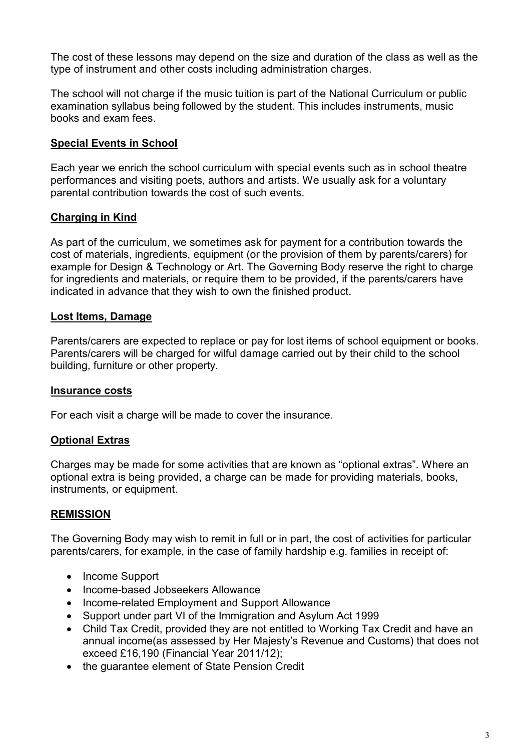The cost of these lessons may depend on the size and duration of the class as well as the type of instrument and other costs including administration charges.

The school will not charge if the music tuition is part of the National Curriculum or public examination syllabus being followed by the student. This includes instruments, music books and exam fees.

## **Special Events in School**

Each year we enrich the school curriculum with special events such as in school theatre performances and visiting poets, authors and artists. We usually ask for a voluntary parental contribution towards the cost of such events.

## **Charging in Kind**

As part of the curriculum, we sometimes ask for payment for a contribution towards the cost of materials, ingredients, equipment (or the provision of them by parents/carers) for example for Design & Technology or Art. The Governing Body reserve the right to charge for ingredients and materials, or require them to be provided, if the parents/carers have indicated in advance that they wish to own the finished product.

## **Lost Items, Damage**

Parents/carers are expected to replace or pay for lost items of school equipment or books. Parents/carers will be charged for wilful damage carried out by their child to the school building, furniture or other property.

#### **Insurance costs**

For each visit a charge will be made to cover the insurance.

#### **Optional Extras**

Charges may be made for some activities that are known as "optional extras". Where an optional extra is being provided, a charge can be made for providing materials, books, instruments, or equipment.

#### **REMISSION**

The Governing Body may wish to remit in full or in part, the cost of activities for particular parents/carers, for example, in the case of family hardship e.g. families in receipt of:

- Income Support
- Income-based Jobseekers Allowance
- Income-related Employment and Support Allowance
- Support under part VI of the Immigration and Asylum Act 1999
- Child Tax Credit, provided they are not entitled to Working Tax Credit and have an annual income(as assessed by Her Majesty's Revenue and Customs) that does not exceed £16,190 (Financial Year 2011/12);
- the guarantee element of State Pension Credit